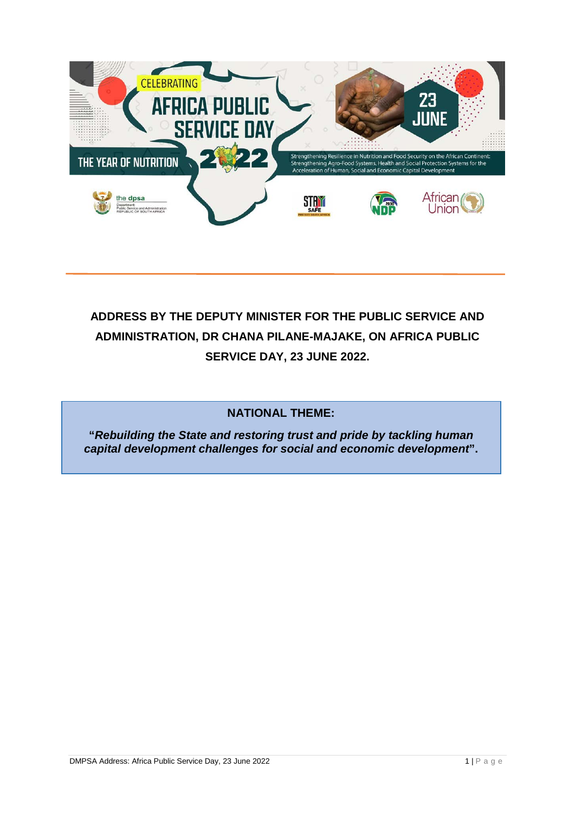

# **ADDRESS BY THE DEPUTY MINISTER FOR THE PUBLIC SERVICE AND ADMINISTRATION, DR CHANA PILANE-MAJAKE, ON AFRICA PUBLIC SERVICE DAY, 23 JUNE 2022.**

#### **NATIONAL THEME:**

**"***Rebuilding the State and restoring trust and pride by tackling human capital development challenges for social and economic development***".**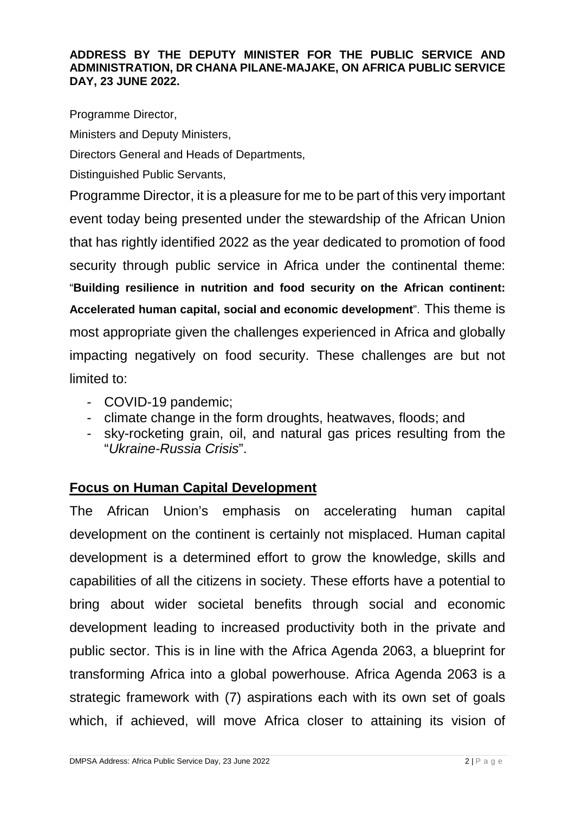#### **ADDRESS BY THE DEPUTY MINISTER FOR THE PUBLIC SERVICE AND ADMINISTRATION, DR CHANA PILANE-MAJAKE, ON AFRICA PUBLIC SERVICE DAY, 23 JUNE 2022.**

Programme Director,

Ministers and Deputy Ministers,

Directors General and Heads of Departments,

Distinguished Public Servants,

Programme Director, it is a pleasure for me to be part of this very important event today being presented under the stewardship of the African Union that has rightly identified 2022 as the year dedicated to promotion of food security through public service in Africa under the continental theme: "**Building resilience in nutrition and food security on the African continent: Accelerated human capital, social and economic development**". This theme is most appropriate given the challenges experienced in Africa and globally impacting negatively on food security. These challenges are but not limited to:

- COVID-19 pandemic;
- climate change in the form droughts, heatwaves, floods; and
- sky-rocketing grain, oil, and natural gas prices resulting from the "*Ukraine-Russia Crisis*".

### **Focus on Human Capital Development**

The African Union's emphasis on accelerating human capital development on the continent is certainly not misplaced. Human capital development is a determined effort to grow the knowledge, skills and capabilities of all the citizens in society. These efforts have a potential to bring about wider societal benefits through social and economic development leading to increased productivity both in the private and public sector. This is in line with the Africa Agenda 2063, a blueprint for transforming Africa into a global powerhouse. Africa Agenda 2063 is a strategic framework with (7) aspirations each with its own set of goals which, if achieved, will move Africa closer to attaining its vision of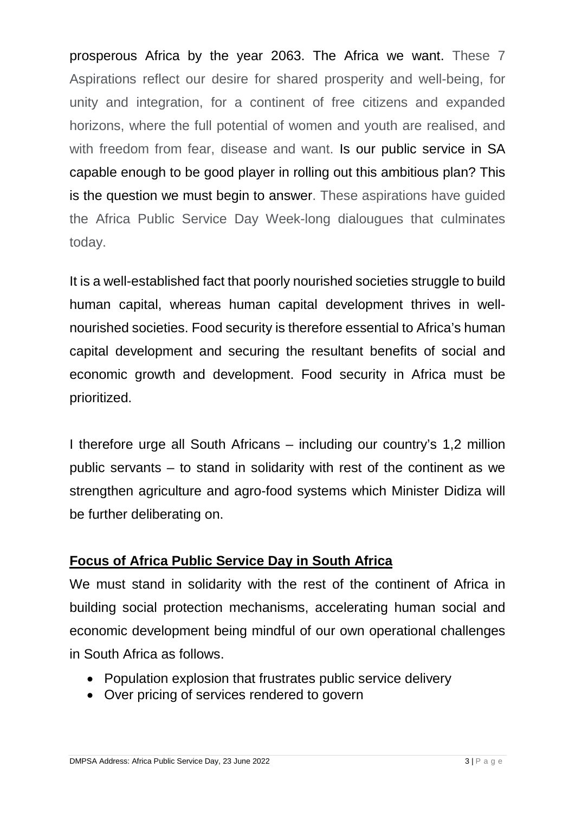prosperous Africa by the year 2063. The Africa we want. These 7 Aspirations reflect our desire for shared prosperity and well-being, for unity and integration, for a continent of free citizens and expanded horizons, where the full potential of women and youth are realised, and with freedom from fear, disease and want. Is our public service in SA capable enough to be good player in rolling out this ambitious plan? This is the question we must begin to answer. These aspirations have guided the Africa Public Service Day Week-long dialougues that culminates today.

It is a well-established fact that poorly nourished societies struggle to build human capital, whereas human capital development thrives in wellnourished societies. Food security is therefore essential to Africa's human capital development and securing the resultant benefits of social and economic growth and development. Food security in Africa must be prioritized.

I therefore urge all South Africans – including our country's 1,2 million public servants – to stand in solidarity with rest of the continent as we strengthen agriculture and agro-food systems which Minister Didiza will be further deliberating on.

## **Focus of Africa Public Service Day in South Africa**

We must stand in solidarity with the rest of the continent of Africa in building social protection mechanisms, accelerating human social and economic development being mindful of our own operational challenges in South Africa as follows.

- Population explosion that frustrates public service delivery
- Over pricing of services rendered to govern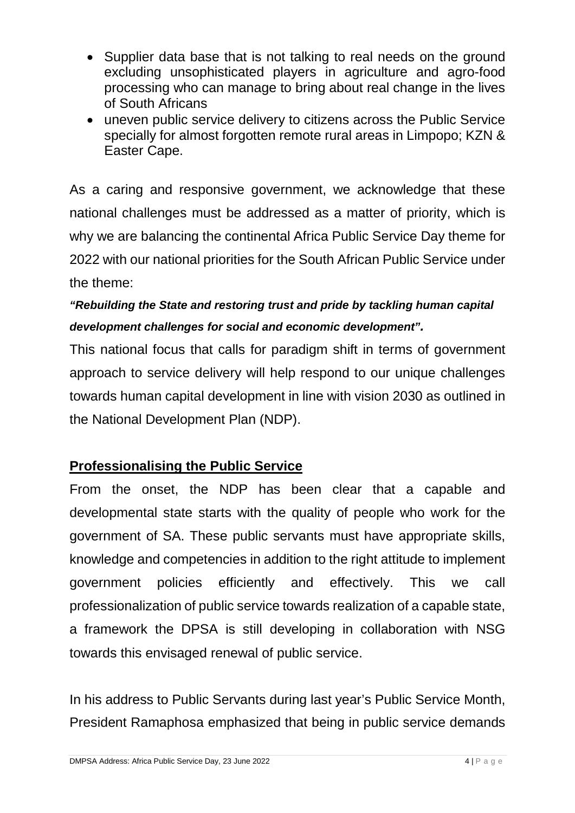- Supplier data base that is not talking to real needs on the ground excluding unsophisticated players in agriculture and agro-food processing who can manage to bring about real change in the lives of South Africans
- uneven public service delivery to citizens across the Public Service specially for almost forgotten remote rural areas in Limpopo; KZN & Easter Cape.

As a caring and responsive government, we acknowledge that these national challenges must be addressed as a matter of priority, which is why we are balancing the continental Africa Public Service Day theme for 2022 with our national priorities for the South African Public Service under the theme:

# *"Rebuilding the State and restoring trust and pride by tackling human capital development challenges for social and economic development".*

This national focus that calls for paradigm shift in terms of government approach to service delivery will help respond to our unique challenges towards human capital development in line with vision 2030 as outlined in the National Development Plan (NDP).

## **Professionalising the Public Service**

From the onset, the NDP has been clear that a capable and developmental state starts with the quality of people who work for the government of SA. These public servants must have appropriate skills, knowledge and competencies in addition to the right attitude to implement government policies efficiently and effectively. This we call professionalization of public service towards realization of a capable state, a framework the DPSA is still developing in collaboration with NSG towards this envisaged renewal of public service.

In his address to Public Servants during last year's Public Service Month, President Ramaphosa emphasized that being in public service demands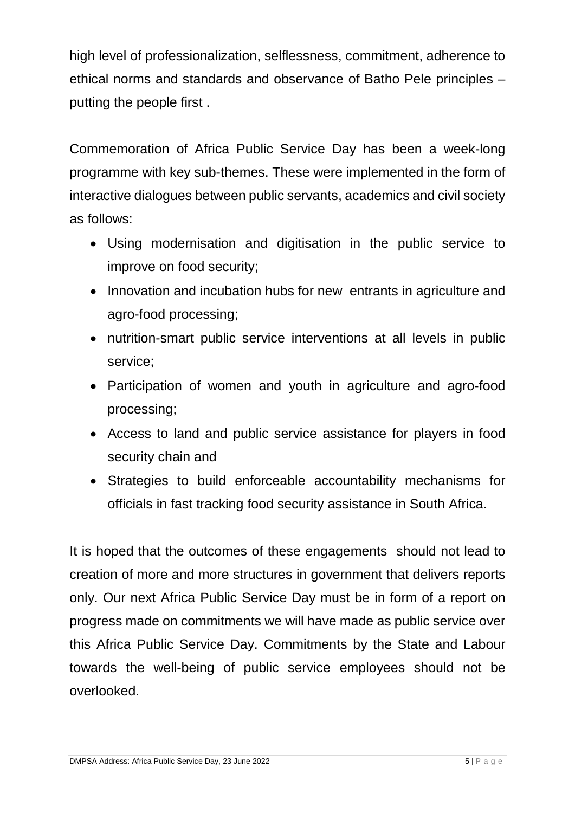high level of professionalization, selflessness, commitment, adherence to ethical norms and standards and observance of Batho Pele principles – putting the people first .

Commemoration of Africa Public Service Day has been a week-long programme with key sub-themes. These were implemented in the form of interactive dialogues between public servants, academics and civil society as follows:

- Using modernisation and digitisation in the public service to improve on food security;
- Innovation and incubation hubs for new entrants in agriculture and agro-food processing;
- nutrition-smart public service interventions at all levels in public service;
- Participation of women and youth in agriculture and agro-food processing;
- Access to land and public service assistance for players in food security chain and
- Strategies to build enforceable accountability mechanisms for officials in fast tracking food security assistance in South Africa.

It is hoped that the outcomes of these engagements should not lead to creation of more and more structures in government that delivers reports only. Our next Africa Public Service Day must be in form of a report on progress made on commitments we will have made as public service over this Africa Public Service Day. Commitments by the State and Labour towards the well-being of public service employees should not be overlooked.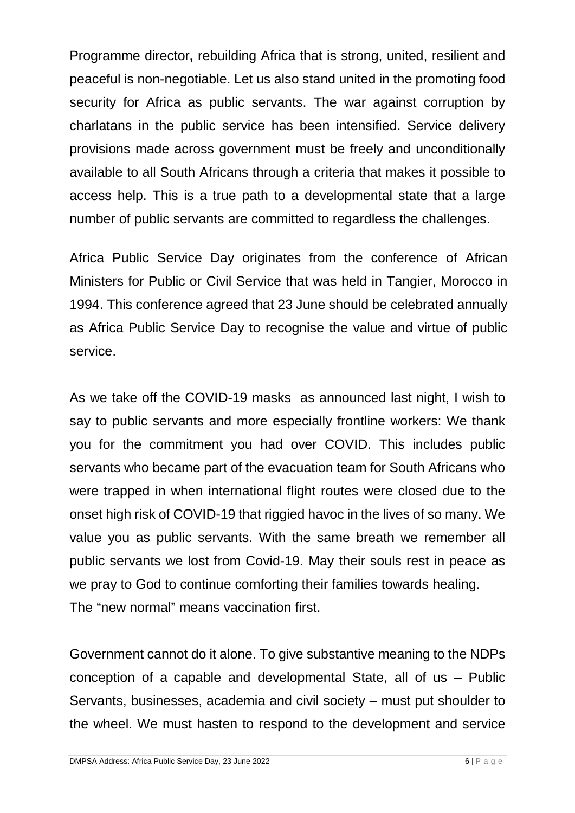Programme director**,** rebuilding Africa that is strong, united, resilient and peaceful is non-negotiable. Let us also stand united in the promoting food security for Africa as public servants. The war against corruption by charlatans in the public service has been intensified. Service delivery provisions made across government must be freely and unconditionally available to all South Africans through a criteria that makes it possible to access help. This is a true path to a developmental state that a large number of public servants are committed to regardless the challenges.

Africa Public Service Day originates from the conference of African Ministers for Public or Civil Service that was held in Tangier, Morocco in 1994. This conference agreed that 23 June should be celebrated annually as Africa Public Service Day to recognise the value and virtue of public service.

As we take off the COVID-19 masks as announced last night, I wish to say to public servants and more especially frontline workers: We thank you for the commitment you had over COVID. This includes public servants who became part of the evacuation team for South Africans who were trapped in when international flight routes were closed due to the onset high risk of COVID-19 that riggied havoc in the lives of so many. We value you as public servants. With the same breath we remember all public servants we lost from Covid-19. May their souls rest in peace as we pray to God to continue comforting their families towards healing. The "new normal" means vaccination first.

Government cannot do it alone. To give substantive meaning to the NDPs conception of a capable and developmental State, all of us – Public Servants, businesses, academia and civil society – must put shoulder to the wheel. We must hasten to respond to the development and service